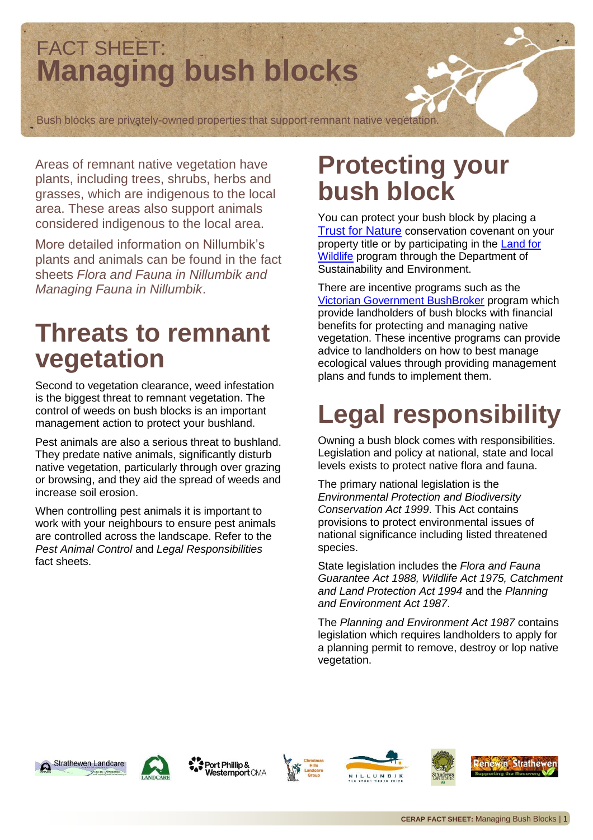# FACT SHEET: **Managing bush blocks**

Bush blocks are privately-owned properties that support remnant native vegetation.

Areas of remnant native vegetation have plants, including trees, shrubs, herbs and grasses, which are indigenous to the local area. These areas also support animals considered indigenous to the local area.

More detailed information on Nillumbik's plants and animals can be found in the fact sheets *Flora and Fauna in Nillumbik and Managing Fauna in Nillumbik*.

# **Threats to remnant vegetation**

Second to vegetation clearance, weed infestation is the biggest threat to remnant vegetation. The control of weeds on bush blocks is an important management action to protect your bushland.

Pest animals are also a serious threat to bushland. They predate native animals, significantly disturb native vegetation, particularly through over grazing or browsing, and they aid the spread of weeds and increase soil erosion.

When controlling pest animals it is important to work with your neighbours to ensure pest animals are controlled across the landscape. Refer to the *Pest Animal Control* and *Legal Responsibilities* fact sheets.

## **Protecting your bush block**

You can protect your bush block by placing a **[Trust for Nature](http://www.trustfornature.org.au/)** conservation covenant on your property title or by participating in the **Land for [Wildlife](http://www.dse.vic.gov.au/plants-and-animals/native-plants-and-animals/land-for-wildlife)** program through the Department of Sustainability and Environment.

There are incentive programs such as the [Victorian Government BushBroker](http://www.dse.vic.gov.au/conservation-and-environment/biodiversity/rural-landscapes/bushbroker) program which provide landholders of bush blocks with financial benefits for protecting and managing native vegetation. These incentive programs can provide advice to landholders on how to best manage ecological values through providing management plans and funds to implement them.

# **Legal responsibility**

Owning a bush block comes with responsibilities. Legislation and policy at national, state and local levels exists to protect native flora and fauna.

The primary national legislation is the *Environmental Protection and Biodiversity Conservation Act 1999*. This Act contains provisions to protect environmental issues of national significance including listed threatened species.

State legislation includes the *Flora and Fauna Guarantee Act 1988, Wildlife Act 1975, Catchment and Land Protection Act 1994* and the *Planning and Environment Act 1987*.

The *Planning and Environment Act 1987* contains legislation which requires landholders to apply for a planning permit to remove, destroy or lop native vegetation.





Port Phillip & Westernport CMA







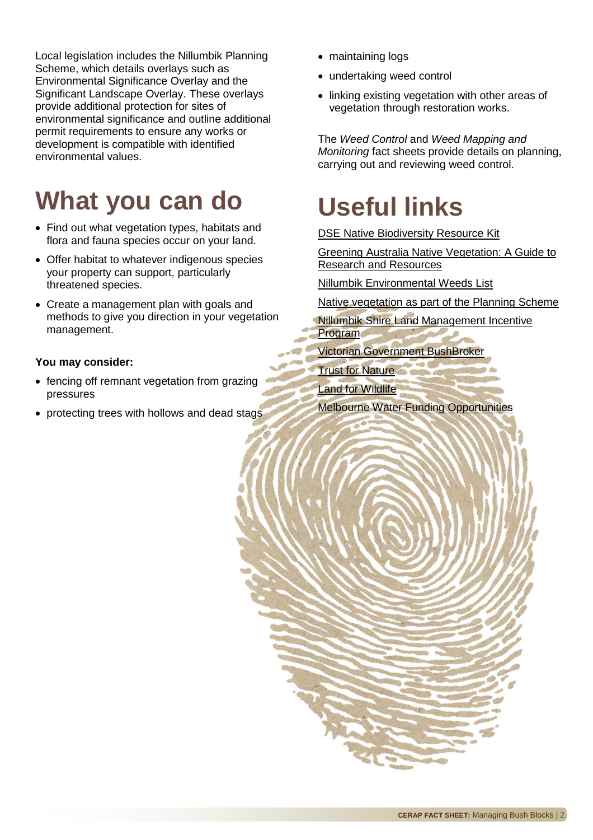Local legislation includes the Nillumbik Planning Scheme, which details overlays such as Environmental Significance Overlay and the Significant Landscape Overlay. These overlays provide additional protection for sites of environmental significance and outline additional permit requirements to ensure any works or development is compatible with identified environmental values.

# **What you can do**

- Find out what vegetation types, habitats and flora and fauna species occur on your land.
- Offer habitat to whatever indigenous species your property can support, particularly threatened species.
- Create a management plan with goals and methods to give you direction in your vegetation management.

#### **You may consider:**

- fencing off remnant vegetation from grazing pressures
- protecting trees with hollows and dead stags
- maintaining logs
- undertaking weed control
- linking existing vegetation with other areas of vegetation through restoration works.

The *Weed Control* and *Weed Mapping and Monitoring* fact sheets provide details on planning, carrying out and reviewing weed control.

# **Useful links**

[DSE Native Biodiversity Resource Kit](http://www.dse.vic.gov.au/conservation-and-environment/biodiversity/rural-landscapes/biodiversity-and-agriculture/native-biodiversity-resource-kit-environmental-management-in-agriculture)

[Greening Australia Native Vegetation: A Guide to](http://live.greeningaustralia.org.au/nativevegetation/pages/index.html)  [Research and Resources](http://live.greeningaustralia.org.au/nativevegetation/pages/index.html)

[Nillumbik Environmental Weeds List](http://www.nillumbik.vic.gov.au/Environment/Land_Management_and_Natural_Environment/Pest_Plants_and_Animals)

[Native vegetation as part of the Planning Scheme](http://www.bing.com/search?q=native+vegetation+as+part+of+the+planning+scheme&src=IE-SearchBox&FORM=IE8SRC)

[Nillumbik Shire Land Management Incentive](http://www.nillumbik.vic.gov.au/Environment/Incentives/Land_Management_Incentive_Program)  **[Program](http://www.nillumbik.vic.gov.au/Environment/Incentives/Land_Management_Incentive_Program)** 

[Victorian Government BushBroker](http://www.dse.vic.gov.au/conservation-and-environment/biodiversity/rural-landscapes/bushbroker)

[Trust for Nature](http://www.trustfornature.org.au/)

[Land for Wildlife](http://www.dse.vic.gov.au/plants-and-animals/native-plants-and-animals/land-for-wildlife)

[Melbourne Water Funding Opportunities](http://www.melbournewater.com.au/content/about_us/funding_opportunities/funding_opportunities.asp?bhcp=1)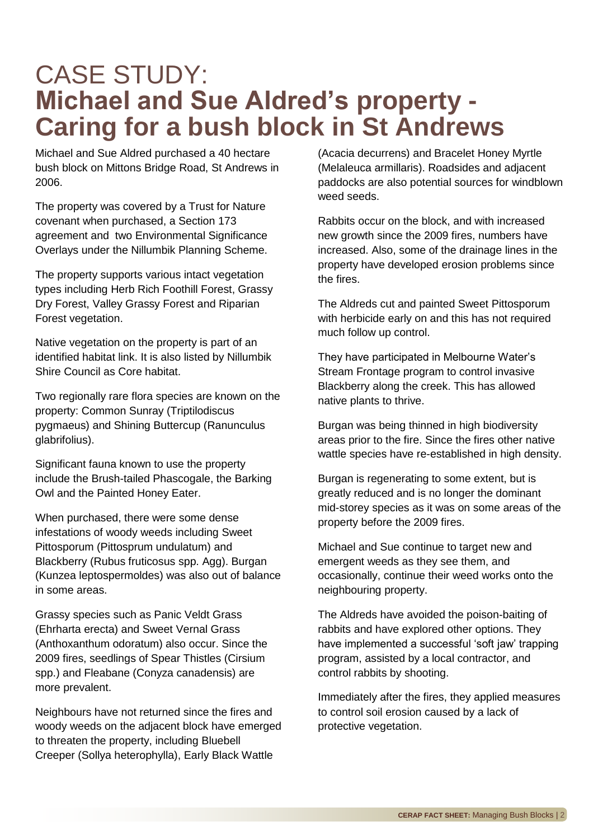## CASE STUDY: **Michael and Sue Aldred's property - Caring for a bush block in St Andrews**

Michael and Sue Aldred purchased a 40 hectare bush block on Mittons Bridge Road, St Andrews in 2006.

The property was covered by a Trust for Nature covenant when purchased, a Section 173 agreement and two Environmental Significance Overlays under the Nillumbik Planning Scheme.

The property supports various intact vegetation types including Herb Rich Foothill Forest, Grassy Dry Forest, Valley Grassy Forest and Riparian Forest vegetation.

Native vegetation on the property is part of an identified habitat link. It is also listed by Nillumbik Shire Council as Core habitat.

Two regionally rare flora species are known on the property: Common Sunray (Triptilodiscus pygmaeus) and Shining Buttercup (Ranunculus glabrifolius).

Significant fauna known to use the property include the Brush-tailed Phascogale, the Barking Owl and the Painted Honey Eater.

When purchased, there were some dense infestations of woody weeds including Sweet Pittosporum (Pittosprum undulatum) and Blackberry (Rubus fruticosus spp. Agg). Burgan (Kunzea leptospermoldes) was also out of balance in some areas.

Grassy species such as Panic Veldt Grass (Ehrharta erecta) and Sweet Vernal Grass (Anthoxanthum odoratum) also occur. Since the 2009 fires, seedlings of Spear Thistles (Cirsium spp.) and Fleabane (Conyza canadensis) are more prevalent.

Neighbours have not returned since the fires and woody weeds on the adjacent block have emerged to threaten the property, including Bluebell Creeper (Sollya heterophylla), Early Black Wattle

(Acacia decurrens) and Bracelet Honey Myrtle (Melaleuca armillaris). Roadsides and adjacent paddocks are also potential sources for windblown weed seeds.

Rabbits occur on the block, and with increased new growth since the 2009 fires, numbers have increased. Also, some of the drainage lines in the property have developed erosion problems since the fires.

The Aldreds cut and painted Sweet Pittosporum with herbicide early on and this has not required much follow up control.

They have participated in Melbourne Water's Stream Frontage program to control invasive Blackberry along the creek. This has allowed native plants to thrive.

Burgan was being thinned in high biodiversity areas prior to the fire. Since the fires other native wattle species have re-established in high density.

Burgan is regenerating to some extent, but is greatly reduced and is no longer the dominant mid-storey species as it was on some areas of the property before the 2009 fires.

Michael and Sue continue to target new and emergent weeds as they see them, and occasionally, continue their weed works onto the neighbouring property.

The Aldreds have avoided the poison-baiting of rabbits and have explored other options. They have implemented a successful 'soft jaw' trapping program, assisted by a local contractor, and control rabbits by shooting.

Immediately after the fires, they applied measures to control soil erosion caused by a lack of protective vegetation.